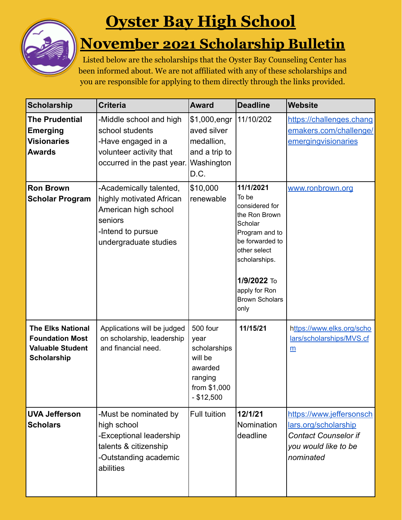

## **Oyster Bay High School**

## **November 2021 Scholarship Bulletin**

Listed below are the scholarships that the Oyster Bay Counseling Center has been informed about. We are not affiliated with any of these scholarships and you are responsible for applying to them directly through the links provided.

| <b>Scholarship</b>                                                                                  | <b>Criteria</b>                                                                                                                      | <b>Award</b>                                                                                      | <b>Deadline</b>                                                                                                                                                                                         | <b>Website</b>                                                                                                       |
|-----------------------------------------------------------------------------------------------------|--------------------------------------------------------------------------------------------------------------------------------------|---------------------------------------------------------------------------------------------------|---------------------------------------------------------------------------------------------------------------------------------------------------------------------------------------------------------|----------------------------------------------------------------------------------------------------------------------|
| <b>The Prudential</b><br><b>Emerging</b><br><b>Visionaries</b><br><b>Awards</b>                     | -Middle school and high<br>school students<br>-Have engaged in a<br>volunteer activity that<br>occurred in the past year.            | \$1,000, engr<br>aved silver<br>medallion,<br>and a trip to<br>Washington<br>D.C.                 | 11/10/202                                                                                                                                                                                               | https://challenges.chang<br>emakers.com/challenge/<br>emergingvisionaries                                            |
| <b>Ron Brown</b><br><b>Scholar Program</b>                                                          | -Academically talented,<br>highly motivated African<br>American high school<br>seniors<br>-Intend to pursue<br>undergraduate studies | \$10,000<br>renewable                                                                             | 11/1/2021<br>To be<br>considered for<br>the Ron Brown<br>Scholar<br>Program and to<br>be forwarded to<br>other select<br>scholarships.<br>1/9/2022 To<br>apply for Ron<br><b>Brown Scholars</b><br>only | www.ronbrown.org                                                                                                     |
| <b>The Elks National</b><br><b>Foundation Most</b><br><b>Valuable Student</b><br><b>Scholarship</b> | Applications will be judged<br>on scholarship, leadership<br>and financial need.                                                     | 500 four<br>year<br>scholarships<br>will be<br>awarded<br>ranging<br>from \$1,000<br>$-$ \$12,500 | 11/15/21                                                                                                                                                                                                | https://www.elks.org/scho<br>lars/scholarships/MVS.cf<br>$\underline{\mathsf{m}}$                                    |
| <b>UVA Jefferson</b><br><b>Scholars</b>                                                             | -Must be nominated by<br>high school<br>-Exceptional leadership<br>talents & citizenship<br>-Outstanding academic<br>abilities       | Full tuition                                                                                      | 12/1/21<br>Nomination<br>deadline                                                                                                                                                                       | https://www.jeffersonsch<br>lars.org/scholarship<br><b>Contact Counselor if</b><br>you would like to be<br>nominated |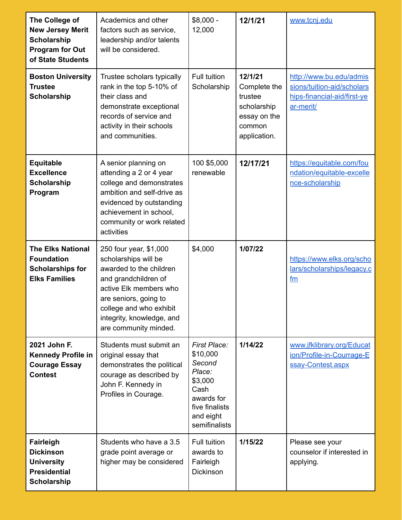| The College of<br><b>New Jersey Merit</b><br><b>Scholarship</b><br><b>Program for Out</b><br>of State Students | Academics and other<br>factors such as service,<br>leadership and/or talents<br>will be considered.                                                                                                                                   | $$8,000 -$<br>12,000                                                                                                                 | 12/1/21                                                                                     | www.tcnj.edu                                                                                      |
|----------------------------------------------------------------------------------------------------------------|---------------------------------------------------------------------------------------------------------------------------------------------------------------------------------------------------------------------------------------|--------------------------------------------------------------------------------------------------------------------------------------|---------------------------------------------------------------------------------------------|---------------------------------------------------------------------------------------------------|
| <b>Boston University</b><br><b>Trustee</b><br><b>Scholarship</b>                                               | Trustee scholars typically<br>rank in the top 5-10% of<br>their class and<br>demonstrate exceptional<br>records of service and<br>activity in their schools<br>and communities.                                                       | Full tuition<br>Scholarship                                                                                                          | 12/1/21<br>Complete the<br>trustee<br>scholarship<br>essay on the<br>common<br>application. | http://www.bu.edu/admis<br>sions/tuition-aid/scholars<br>hips-financial-aid/first-ye<br>ar-merit/ |
| <b>Equitable</b><br><b>Excellence</b><br><b>Scholarship</b><br>Program                                         | A senior planning on<br>attending a 2 or 4 year<br>college and demonstrates<br>ambition and self-drive as<br>evidenced by outstanding<br>achievement in school,<br>community or work related<br>activities                            | 100 \$5,000<br>renewable                                                                                                             | 12/17/21                                                                                    | https://equitable.com/fou<br>ndation/equitable-excelle<br>nce-scholarship                         |
| <b>The Elks National</b><br><b>Foundation</b><br><b>Scholarships for</b><br><b>Elks Families</b>               | 250 four year, \$1,000<br>scholarships will be<br>awarded to the children<br>and grandchildren of<br>active Elk members who<br>are seniors, going to<br>college and who exhibit<br>integrity, knowledge, and<br>are community minded. | \$4,000                                                                                                                              | 1/07/22                                                                                     | https://www.elks.org/scho<br>lars/scholarships/legacy.c<br>fm                                     |
| 2021 John F.<br><b>Kennedy Profile in</b><br><b>Courage Essay</b><br><b>Contest</b>                            | Students must submit an<br>original essay that<br>demonstrates the political<br>courage as described by<br>John F. Kennedy in<br>Profiles in Courage.                                                                                 | <b>First Place:</b><br>\$10,000<br>Second<br>Place:<br>\$3,000<br>Cash<br>awards for<br>five finalists<br>and eight<br>semifinalists | 1/14/22                                                                                     | www.jfklibrary.org/Educat<br>ion/Profile-in-Courrage-E<br>ssay-Contest.aspx                       |
| Fairleigh<br><b>Dickinson</b><br><b>University</b><br><b>Presidential</b><br><b>Scholarship</b>                | Students who have a 3.5<br>grade point average or<br>higher may be considered                                                                                                                                                         | Full tuition<br>awards to<br>Fairleigh<br><b>Dickinson</b>                                                                           | 1/15/22                                                                                     | Please see your<br>counselor if interested in<br>applying.                                        |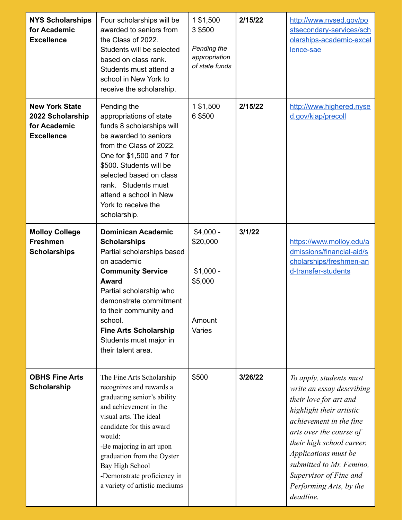| <b>NYS Scholarships</b><br>for Academic<br><b>Excellence</b>                   | Four scholarships will be<br>awarded to seniors from<br>the Class of 2022.<br>Students will be selected<br>based on class rank.<br>Students must attend a<br>school in New York to<br>receive the scholarship.                                                                                                              | 1 \$1,500<br>3 \$500<br>Pending the<br>appropriation<br>of state funds | 2/15/22 | http://www.nysed.gov/po<br>stsecondary-services/sch<br>olarships-academic-excel<br>lence-sae                                                                                                                                                                                                                        |
|--------------------------------------------------------------------------------|-----------------------------------------------------------------------------------------------------------------------------------------------------------------------------------------------------------------------------------------------------------------------------------------------------------------------------|------------------------------------------------------------------------|---------|---------------------------------------------------------------------------------------------------------------------------------------------------------------------------------------------------------------------------------------------------------------------------------------------------------------------|
| <b>New York State</b><br>2022 Scholarship<br>for Academic<br><b>Excellence</b> | Pending the<br>appropriations of state<br>funds 8 scholarships will<br>be awarded to seniors<br>from the Class of 2022.<br>One for \$1,500 and 7 for<br>\$500. Students will be<br>selected based on class<br>rank. Students must<br>attend a school in New<br>York to receive the<br>scholarship.                          | 1 \$1,500<br>6 \$500                                                   | 2/15/22 | http://www.highered.nyse<br>d.gov/kiap/precoll                                                                                                                                                                                                                                                                      |
| <b>Molloy College</b><br><b>Freshmen</b><br><b>Scholarships</b>                | <b>Dominican Academic</b><br><b>Scholarships</b><br>Partial scholarships based<br>on academic<br><b>Community Service</b><br><b>Award</b><br>Partial scholarship who<br>demonstrate commitment<br>to their community and<br>school.<br><b>Fine Arts Scholarship</b><br>Students must major in<br>their talent area.         | $$4,000 -$<br>\$20,000<br>$$1,000 -$<br>\$5,000<br>Amount<br>Varies    | 3/1/22  | https://www.molloy.edu/a<br>dmissions/financial-aid/s<br>cholarships/freshmen-an<br>d-transfer-students                                                                                                                                                                                                             |
| <b>OBHS Fine Arts</b><br><b>Scholarship</b>                                    | The Fine Arts Scholarship<br>recognizes and rewards a<br>graduating senior's ability<br>and achievement in the<br>visual arts. The ideal<br>candidate for this award<br>would:<br>-Be majoring in art upon<br>graduation from the Oyster<br>Bay High School<br>-Demonstrate proficiency in<br>a variety of artistic mediums | \$500                                                                  | 3/26/22 | To apply, students must<br>write an essay describing<br>their love for art and<br>highlight their artistic<br>achievement in the fine<br>arts over the course of<br>their high school career.<br>Applications must be<br>submitted to Mr. Femino,<br>Supervisor of Fine and<br>Performing Arts, by the<br>deadline. |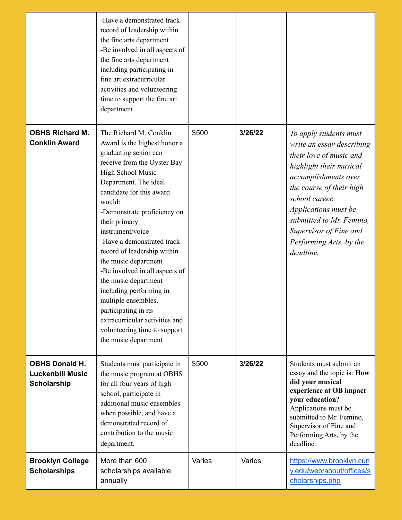|                                                                        | -Have a demonstrated track<br>record of leadership within<br>the fine arts department<br>-Be involved in all aspects of<br>the fine arts department<br>including participating in<br>fine art extracurricular<br>activities and volunteering<br>time to support the fine art<br>department                                                                                                                                                                                                                                                                                                |        |         |                                                                                                                                                                                                                                                                                                       |
|------------------------------------------------------------------------|-------------------------------------------------------------------------------------------------------------------------------------------------------------------------------------------------------------------------------------------------------------------------------------------------------------------------------------------------------------------------------------------------------------------------------------------------------------------------------------------------------------------------------------------------------------------------------------------|--------|---------|-------------------------------------------------------------------------------------------------------------------------------------------------------------------------------------------------------------------------------------------------------------------------------------------------------|
| <b>OBHS Richard M.</b><br><b>Conklin Award</b>                         | The Richard M. Conklin<br>Award is the highest honor a<br>graduating senior can<br>receive from the Oyster Bay<br>High School Music<br>Department. The ideal<br>candidate for this award<br>would:<br>-Demonstrate proficiency on<br>their primary<br>instrument/voice<br>-Have a demonstrated track<br>record of leadership within<br>the music department<br>-Be involved in all aspects of<br>the music department<br>including performing in<br>multiple ensembles,<br>participating in its<br>extracurricular activities and<br>volunteering time to support<br>the music department | \$500  | 3/26/22 | To apply students must<br>write an essay describing<br>their love of music and<br>highlight their musical<br>accomplishments over<br>the course of their high<br>school career.<br>Applications must be<br>submitted to Mr. Femino,<br>Supervisor of Fine and<br>Performing Arts, by the<br>deadline. |
| <b>OBHS Donald H.</b><br><b>Luckenbill Music</b><br><b>Scholarship</b> | Students must participate in<br>the music program at OBHS<br>for all four years of high<br>school, participate in<br>additional music ensembles<br>when possible, and have a<br>demonstrated record of<br>contribution to the music<br>department.                                                                                                                                                                                                                                                                                                                                        | \$500  | 3/26/22 | Students must submit an<br>essay and the topic is: How<br>did your musical<br>experience at OB impact<br>your education?<br>Applications must be<br>submitted to Mr. Femino,<br>Supervisor of Fine and<br>Performing Arts, by the<br>deadline.                                                        |
| <b>Brooklyn College</b><br><b>Scholarships</b>                         | More than 600<br>scholarships available<br>annually                                                                                                                                                                                                                                                                                                                                                                                                                                                                                                                                       | Varies | Varies  | https://www.brooklyn.cun<br>y.edu/web/about/offices/s<br>cholarships.php                                                                                                                                                                                                                              |